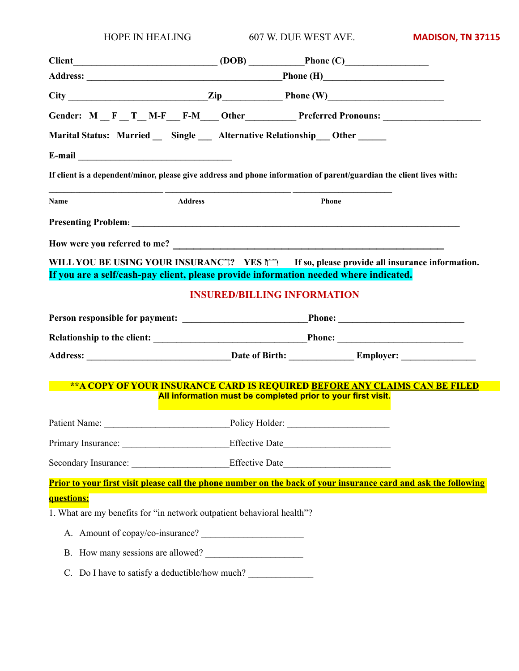| <b>HOPE IN HEALING</b>                                                                                              |  | 607 W. DUE WEST AVE.                                         | <b>MADISON, TN 37115</b>                                                          |  |  |  |
|---------------------------------------------------------------------------------------------------------------------|--|--------------------------------------------------------------|-----------------------------------------------------------------------------------|--|--|--|
| $Client$ $(DOB)$ $Phone (C)$                                                                                        |  |                                                              |                                                                                   |  |  |  |
|                                                                                                                     |  |                                                              |                                                                                   |  |  |  |
| $City$ Phone (W)                                                                                                    |  |                                                              |                                                                                   |  |  |  |
| Gender: M _ F _ T _ M-F _ F-M _ Other ________ Preferred Pronouns: ______________                                   |  |                                                              |                                                                                   |  |  |  |
| Marital Status: Married _ Single _ Alternative Relationship _ Other _____                                           |  |                                                              |                                                                                   |  |  |  |
|                                                                                                                     |  |                                                              |                                                                                   |  |  |  |
| If client is a dependent/minor, please give address and phone information of parent/guardian the client lives with: |  |                                                              |                                                                                   |  |  |  |
| Name<br><b>Address</b>                                                                                              |  | Phone                                                        |                                                                                   |  |  |  |
|                                                                                                                     |  |                                                              |                                                                                   |  |  |  |
|                                                                                                                     |  |                                                              |                                                                                   |  |  |  |
| WILL YOU BE USING YOUR INSURANCE? YES MILL TO, please provide all insurance information.                            |  |                                                              |                                                                                   |  |  |  |
| If you are a self/cash-pay client, please provide information needed where indicated.                               |  |                                                              |                                                                                   |  |  |  |
|                                                                                                                     |  | <b>INSURED/BILLING INFORMATION</b>                           |                                                                                   |  |  |  |
|                                                                                                                     |  |                                                              |                                                                                   |  |  |  |
|                                                                                                                     |  |                                                              |                                                                                   |  |  |  |
|                                                                                                                     |  |                                                              |                                                                                   |  |  |  |
|                                                                                                                     |  |                                                              | <u>**A COPY OF YOUR INSURANCE CARD IS REQUIRED BEFORE ANY CLAIMS CAN BE FILED</u> |  |  |  |
|                                                                                                                     |  | All information must be completed prior to your first visit. |                                                                                   |  |  |  |
|                                                                                                                     |  |                                                              |                                                                                   |  |  |  |
| Primary Insurance: ______________________________Effective Date__________________                                   |  |                                                              |                                                                                   |  |  |  |
| Secondary Insurance: ___________________________Effective Date___________________                                   |  |                                                              |                                                                                   |  |  |  |
| Prior to your first visit please call the phone number on the back of your insurance card and ask the following     |  |                                                              |                                                                                   |  |  |  |
| questions:                                                                                                          |  |                                                              |                                                                                   |  |  |  |
| 1. What are my benefits for "in network outpatient behavioral health"?                                              |  |                                                              |                                                                                   |  |  |  |
| A. Amount of copay/co-insurance?                                                                                    |  |                                                              |                                                                                   |  |  |  |
| B. How many sessions are allowed?                                                                                   |  |                                                              |                                                                                   |  |  |  |
| C. Do I have to satisfy a deductible/how much?                                                                      |  |                                                              |                                                                                   |  |  |  |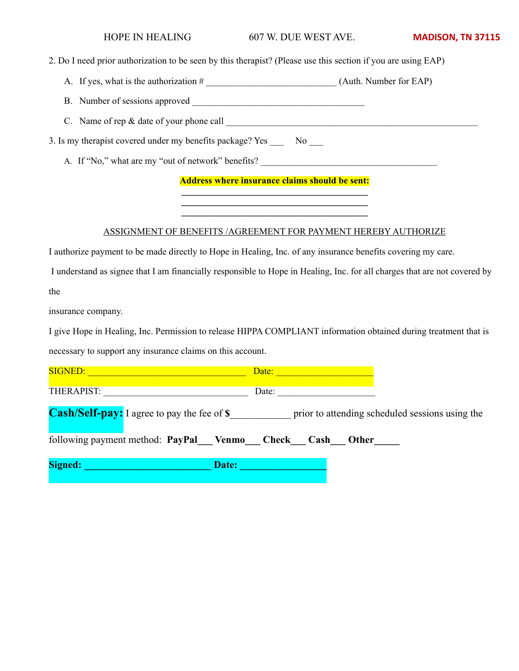#### HOPE IN HEALING 607 W. DUE WEST AVE. **MADISON, TN 37115**

2. Do I need prior authorization to be seen by this therapist? (Please use this section if you are using EAP)

A. If yes, what is the authorization  $\#$  (Auth. Number for EAP)

B. Number of sessions approved \_\_\_\_\_\_\_\_\_\_\_\_\_\_\_\_\_\_\_\_\_\_\_\_\_\_\_\_\_\_\_\_\_\_\_\_\_

C. Name of rep & date of your phone call \_\_\_\_\_\_\_\_\_\_\_\_\_\_\_\_\_\_\_\_\_\_\_\_\_\_\_\_\_\_\_\_\_\_\_\_\_\_\_\_\_\_\_\_\_\_\_\_\_\_\_\_\_\_

3. Is my therapist covered under my benefits package? Yes \_\_\_ No \_\_\_

A. If "No," what are my "out of network" benefits?

**Address where insurance claims should be sent: \_\_\_\_\_\_\_\_\_\_\_\_\_\_\_\_\_\_\_\_\_\_\_\_\_\_\_\_\_\_\_\_\_\_\_\_\_\_\_\_**

**\_\_\_\_\_\_\_\_\_\_\_\_\_\_\_\_\_\_\_\_\_\_\_\_\_\_\_\_\_\_\_\_\_\_\_\_\_\_\_\_ \_\_\_\_\_\_\_\_\_\_\_\_\_\_\_\_\_\_\_\_\_\_\_\_\_\_\_\_\_\_\_\_\_\_\_\_\_\_\_\_** 

#### ASSIGNMENT OF BENEFITS /AGREEMENT FOR PAYMENT HEREBY AUTHORIZE

I authorize payment to be made directly to Hope in Healing, Inc. of any insurance benefits covering my care.

 I understand as signee that I am financially responsible to Hope in Healing, Inc. for all charges that are not covered by the

insurance company.

I give Hope in Healing, Inc. Permission to release HIPPA COMPLIANT information obtained during treatment that is necessary to support any insurance claims on this account.

| <b>SIGNED:</b> |                                                    | Date: |       |                                                 |
|----------------|----------------------------------------------------|-------|-------|-------------------------------------------------|
| THERAPIST:     |                                                    | Date: |       |                                                 |
|                | <b>Cash/Self-pay:</b> I agree to pay the fee of \$ |       |       | prior to attending scheduled sessions using the |
|                | following payment method: PayPal Venmo Check Cash  |       | Other |                                                 |
| <b>Signed:</b> | Date:                                              |       |       |                                                 |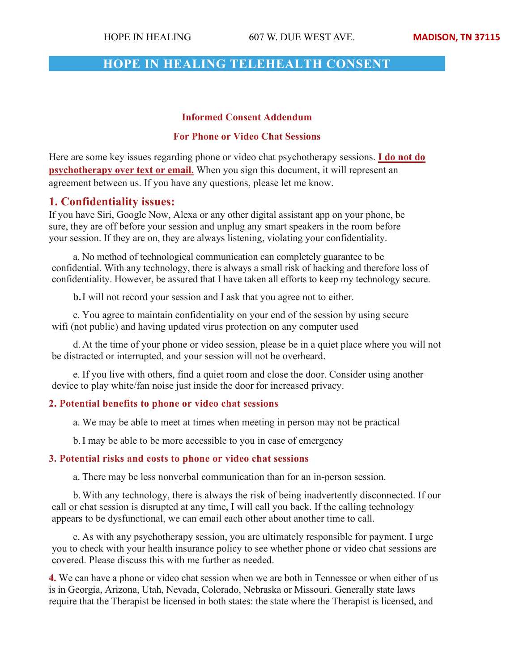# **HOPE IN HEALING TELEHEALTH CONSENT**

### **Informed Consent Addendum**

### **For Phone or Video Chat Sessions**

Here are some key issues regarding phone or video chat psychotherapy sessions. **I do not do psychotherapy over text or email.** When you sign this document, it will represent an agreement between us. If you have any questions, please let me know.

# **1. Confidentiality issues:**

If you have Siri, Google Now, Alexa or any other digital assistant app on your phone, be sure, they are off before your session and unplug any smart speakers in the room before your session. If they are on, they are always listening, violating your confidentiality.

a. No method of technological communication can completely guarantee to be confidential. With any technology, there is always a small risk of hacking and therefore loss of confidentiality. However, be assured that I have taken all efforts to keep my technology secure.

**b.**I will not record your session and I ask that you agree not to either.

c. You agree to maintain confidentiality on your end of the session by using secure wifi (not public) and having updated virus protection on any computer used

d. At the time of your phone or video session, please be in a quiet place where you will not be distracted or interrupted, and your session will not be overheard.

e. If you live with others, find a quiet room and close the door. Consider using another device to play white/fan noise just inside the door for increased privacy.

## **2. Potential benefits to phone or video chat sessions**

a. We may be able to meet at times when meeting in person may not be practical

b.I may be able to be more accessible to you in case of emergency

### **3. Potential risks and costs to phone or video chat sessions**

a. There may be less nonverbal communication than for an in-person session.

b.With any technology, there is always the risk of being inadvertently disconnected. If our call or chat session is disrupted at any time, I will call you back. If the calling technology appears to be dysfunctional, we can email each other about another time to call.

c. As with any psychotherapy session, you are ultimately responsible for payment. I urge you to check with your health insurance policy to see whether phone or video chat sessions are covered. Please discuss this with me further as needed.

**4.** We can have a phone or video chat session when we are both in Tennessee or when either of us is in Georgia, Arizona, Utah, Nevada, Colorado, Nebraska or Missouri. Generally state laws require that the Therapist be licensed in both states: the state where the Therapist is licensed, and